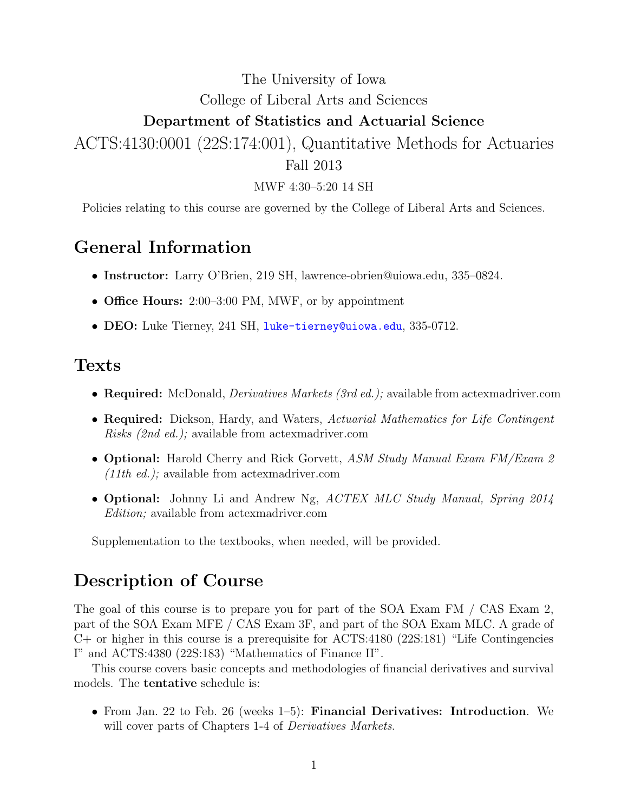## The University of Iowa College of Liberal Arts and Sciences Department of Statistics and Actuarial Science ACTS:4130:0001 (22S:174:001), Quantitative Methods for Actuaries

#### Fall 2013

MWF 4:30–5:20 14 SH

Policies relating to this course are governed by the College of Liberal Arts and Sciences.

#### General Information

- Instructor: Larry O'Brien, 219 SH, lawrence-obrien@uiowa.edu, 335–0824.
- Office Hours: 2:00–3:00 PM, MWF, or by appointment
- DEO: Luke Tierney, 241 SH, [luke-tierney@uiowa.edu](mailto:luke-tierney@uiowa.edu), 335-0712.

#### Texts

- Required: McDonald, *Derivatives Markets (3rd ed.)*; available from actexmadriver.com
- Required: Dickson, Hardy, and Waters, Actuarial Mathematics for Life Contingent Risks (2nd ed.); available from actexmadriver.com
- Optional: Harold Cherry and Rick Gorvett, ASM Study Manual Exam FM/Exam 2 (11th ed.); available from actexmadriver.com
- Optional: Johnny Li and Andrew Ng, ACTEX MLC Study Manual, Spring 2014 Edition; available from actexmadriver.com

Supplementation to the textbooks, when needed, will be provided.

### Description of Course

The goal of this course is to prepare you for part of the SOA Exam FM / CAS Exam 2, part of the SOA Exam MFE / CAS Exam 3F, and part of the SOA Exam MLC. A grade of C+ or higher in this course is a prerequisite for ACTS:4180 (22S:181) "Life Contingencies I" and ACTS:4380 (22S:183) "Mathematics of Finance II".

This course covers basic concepts and methodologies of financial derivatives and survival models. The tentative schedule is:

• From Jan. 22 to Feb. 26 (weeks 1–5): Financial Derivatives: Introduction. We will cover parts of Chapters 1-4 of *Derivatives Markets*.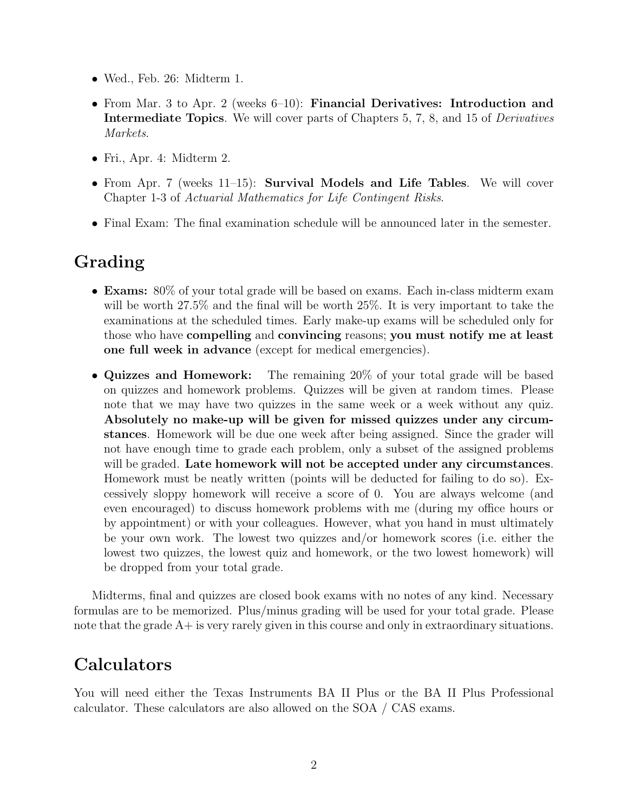- Wed., Feb. 26: Midterm 1.
- From Mar. 3 to Apr. 2 (weeks 6–10): **Financial Derivatives: Introduction and** Intermediate Topics. We will cover parts of Chapters 5, 7, 8, and 15 of Derivatives Markets.
- Fri., Apr. 4: Midterm 2.
- From Apr. 7 (weeks 11–15): Survival Models and Life Tables. We will cover Chapter 1-3 of Actuarial Mathematics for Life Contingent Risks.
- Final Exam: The final examination schedule will be announced later in the semester.

## Grading

- Exams: 80% of your total grade will be based on exams. Each in-class midterm exam will be worth 27.5% and the final will be worth 25%. It is very important to take the examinations at the scheduled times. Early make-up exams will be scheduled only for those who have compelling and convincing reasons; you must notify me at least one full week in advance (except for medical emergencies).
- Quizzes and Homework: The remaining 20% of your total grade will be based on quizzes and homework problems. Quizzes will be given at random times. Please note that we may have two quizzes in the same week or a week without any quiz. Absolutely no make-up will be given for missed quizzes under any circumstances. Homework will be due one week after being assigned. Since the grader will not have enough time to grade each problem, only a subset of the assigned problems will be graded. Late homework will not be accepted under any circumstances. Homework must be neatly written (points will be deducted for failing to do so). Excessively sloppy homework will receive a score of 0. You are always welcome (and even encouraged) to discuss homework problems with me (during my office hours or by appointment) or with your colleagues. However, what you hand in must ultimately be your own work. The lowest two quizzes and/or homework scores (i.e. either the lowest two quizzes, the lowest quiz and homework, or the two lowest homework) will be dropped from your total grade.

Midterms, final and quizzes are closed book exams with no notes of any kind. Necessary formulas are to be memorized. Plus/minus grading will be used for your total grade. Please note that the grade A+ is very rarely given in this course and only in extraordinary situations.

### Calculators

You will need either the Texas Instruments BA II Plus or the BA II Plus Professional calculator. These calculators are also allowed on the SOA / CAS exams.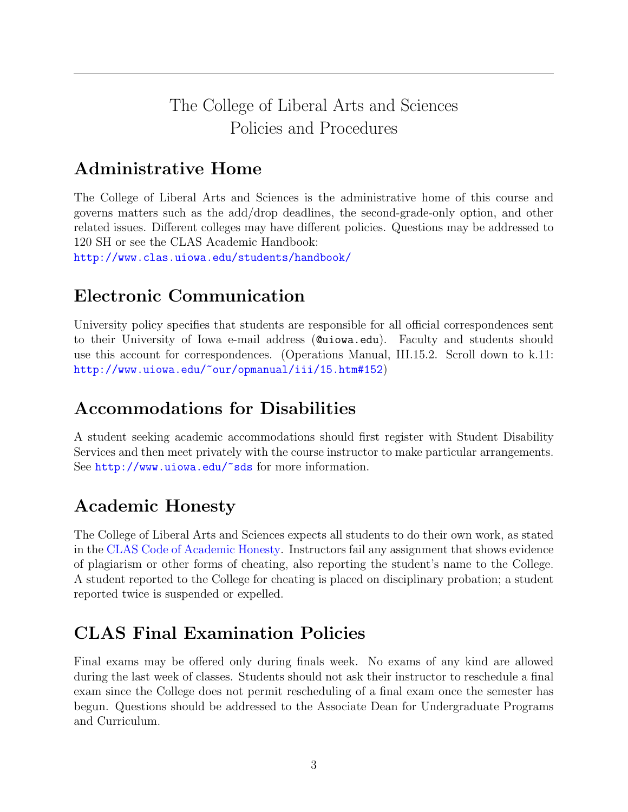## The College of Liberal Arts and Sciences Policies and Procedures

## Administrative Home

The College of Liberal Arts and Sciences is the administrative home of this course and governs matters such as the add/drop deadlines, the second-grade-only option, and other related issues. Different colleges may have different policies. Questions may be addressed to 120 SH or see the CLAS Academic Handbook:

<http://www.clas.uiowa.edu/students/handbook/>

## Electronic Communication

University policy specifies that students are responsible for all official correspondences sent to their University of Iowa e-mail address (@uiowa.edu). Faculty and students should use this account for correspondences. (Operations Manual, III.15.2. Scroll down to k.11: <http://www.uiowa.edu/~our/opmanual/iii/15.htm#152>)

## Accommodations for Disabilities

A student seeking academic accommodations should first register with Student Disability Services and then meet privately with the course instructor to make particular arrangements. See [http://www.uiowa.edu/~sds](http://www.uiowa.edu/~sds/) for more information.

# Academic Honesty

The College of Liberal Arts and Sciences expects all students to do their own work, as stated in the [CLAS Code of Academic Honesty.](http://clas.uiowa.edu/students/handbook/academic-fraud-honor-code) Instructors fail any assignment that shows evidence of plagiarism or other forms of cheating, also reporting the student's name to the College. A student reported to the College for cheating is placed on disciplinary probation; a student reported twice is suspended or expelled.

## CLAS Final Examination Policies

Final exams may be offered only during finals week. No exams of any kind are allowed during the last week of classes. Students should not ask their instructor to reschedule a final exam since the College does not permit rescheduling of a final exam once the semester has begun. Questions should be addressed to the Associate Dean for Undergraduate Programs and Curriculum.